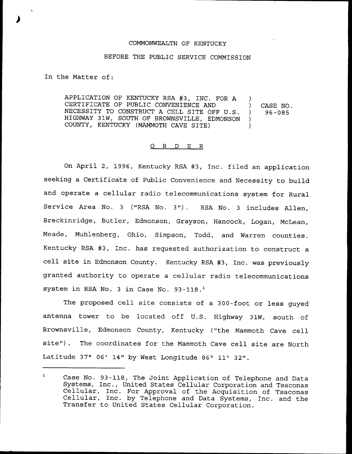## COMMONWEALTH OF KENTUCKY

## BEFORE THE PUBLIC SERVICE COMMISSION

In the Matter of:

APPLICATION OF KENTUCKY RSA #3, INC. FOR A CERTIFICATE OF PUBLIC CONVENIENCE AND NECESSITY TO CONSTRUCT <sup>A</sup> CELL SITE OFF U.S. HIGHWAY 31W, SOUTH OF BROWNSVILLE, EDMONSON COUNTY, KENTUCKY (MAMMOTH CAVE SITE) ) ) CASE NO. ) 96-085 )  $\lambda$ 

## 0 R <sup>D</sup> E R

On April 2, 1996, Kentucky RSA #3, Inc. filed an application seeking a Certificate of Public Convenience and Necessity to build and operate a cellular radio telecommunications system for Rural Service Area No. <sup>3</sup> {"RSA No. 3"). RSA No. <sup>3</sup> includes Allen, Breckinridge, Butler, Edmonson, Grayson, Hancock, Logan, McLean, Meade, Muhlenberg, Ohio, Simpson, Todd, and Warren counties. Kentucky RSA #3, Inc. has requested authorization to construct a cell site in Edmonson County. Kentucky RSA 43, Inc. was previously granted authority to operate a cellular radio telecommunications system in RSA No. 3 in Case No. 93-118.<sup>1</sup>

The proposed cell site consists of a 300-foot or less guyed antenna tower to be located off U.S. Highway 31W, south of Brownsville, Edmonson County, Kentucky {"the Mammoth Cave cell site"). The coordinates for the Mammoth Cave cell site are North Latitude  $37°$  06' 14" by West Longitude 86° 11' 32".

 $\mathbf 1$ Case No. 93-118, The Joint Application of Telephone and Data Systems, Inc., United States Cellular Corporation and Tsaconas Cellular, Inc. For Approval of the Acquisition of Tsaconas Cellular, Inc. by Telephone and Data Systems, Inc. and the Transfer to United States Cellular Corpor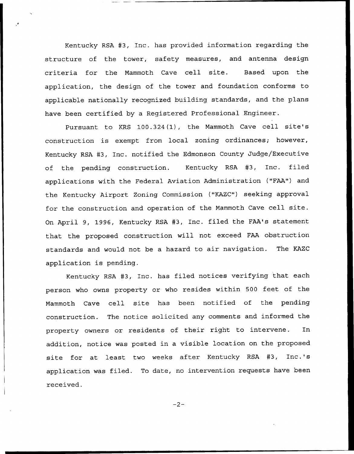Kentucky RSA #3, Inc. has provided information regarding the structure of the tower, safety measures, and antenna design criteria for the Mammoth Cave cell site. Based upon the application, the design of the tower and foundation conforms to applicable nationally recognized building standards, and the plans have been certified by a Registered Professional Engineer.

Pursuant to KRS 100.324(1), the Mammoth Cave cell site's construction is exempt from local zoning ordinances; however, Kentucky RSA 43, Inc. notified the Edmonson County Judge/Executive of the pending construction. Kentucky RSA #3, Inc. filed applications with the Federal Aviation Administration ("FAA") and the Kentucky Airport Zoning Commission ("KAZC") seeking approval for the construction and operation of the Mammoth Cave cell site. On April 9, 1996, Kentucky RSA #3, Inc. filed the FAA's statement that the proposed construction will not exceed FAA obstruction standards and would not be a hazard to air navigation. The KAZC application is pending.

Kentucky RSA 43, Inc. has filed notices verifying that each person who owns property or who resides within 500 feet of the Mammoth Cave cell site has been notified of the pending construction. The notice solicited any comments and informed the property owners or residents of their right to intervene. In addition, notice was posted in a visible location on the proposed site for at least two weeks after Kentucky RSA #3, Inc.'s application was filed. To date, no intervention requests have been received.

 $-2-$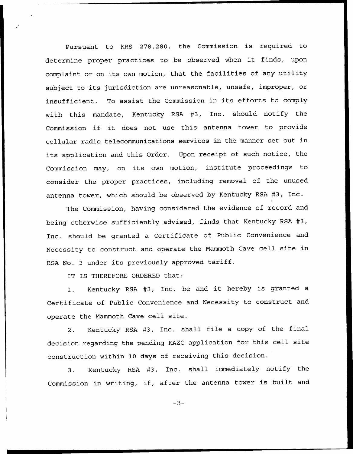Pursuant to KRS 278.280, the Commission is required to determine proper practices to be observed when it finds, upon complaint or on its own motion, that the facilities of any utility subject to its jurisdiction are unreasonable, unsafe, improper, or insufficient. To assist the Commission in its efforts to comply with this mandate, Kentucky RSA #3, Inc. should notify the Commission if it does not use this antenna tower to provide cellular radio telecommunications services in the manner set out in its application and this Order. Upon receipt of such notice, the Commission may, on its own motion, institute proceedings to consider the proper practices, including removal of the unused antenna tower, which should be observed by Kentucky RSA #3, Inc.

The Commission, having considered the evidence of record and being otherwise sufficiently advised, finds that Kentucky RSA #3, Inc. should be granted a Certificate of Public Convenience and Necessity to construct and operate the Mammoth Cave cell site in RSA No. <sup>3</sup> under its previously approved tariff.

IT IS THEREFORE ORDERED that:

1. Kentucky RSA #3, Inc. be and it hereby is granted a Certificate of Public Convenience and Necessity to construct and operate the Mammoth Cave cell site.

2. Kentucky RSA #3, Inc. shall file a copy of the final decision regarding the pending KAZC application for this cell site construction within 10 days of receiving this decision.

3. Kentucky RSA #3, Inc. shall immediately notify the Commission in writing, if, after the antenna tower is built and

 $-3-$